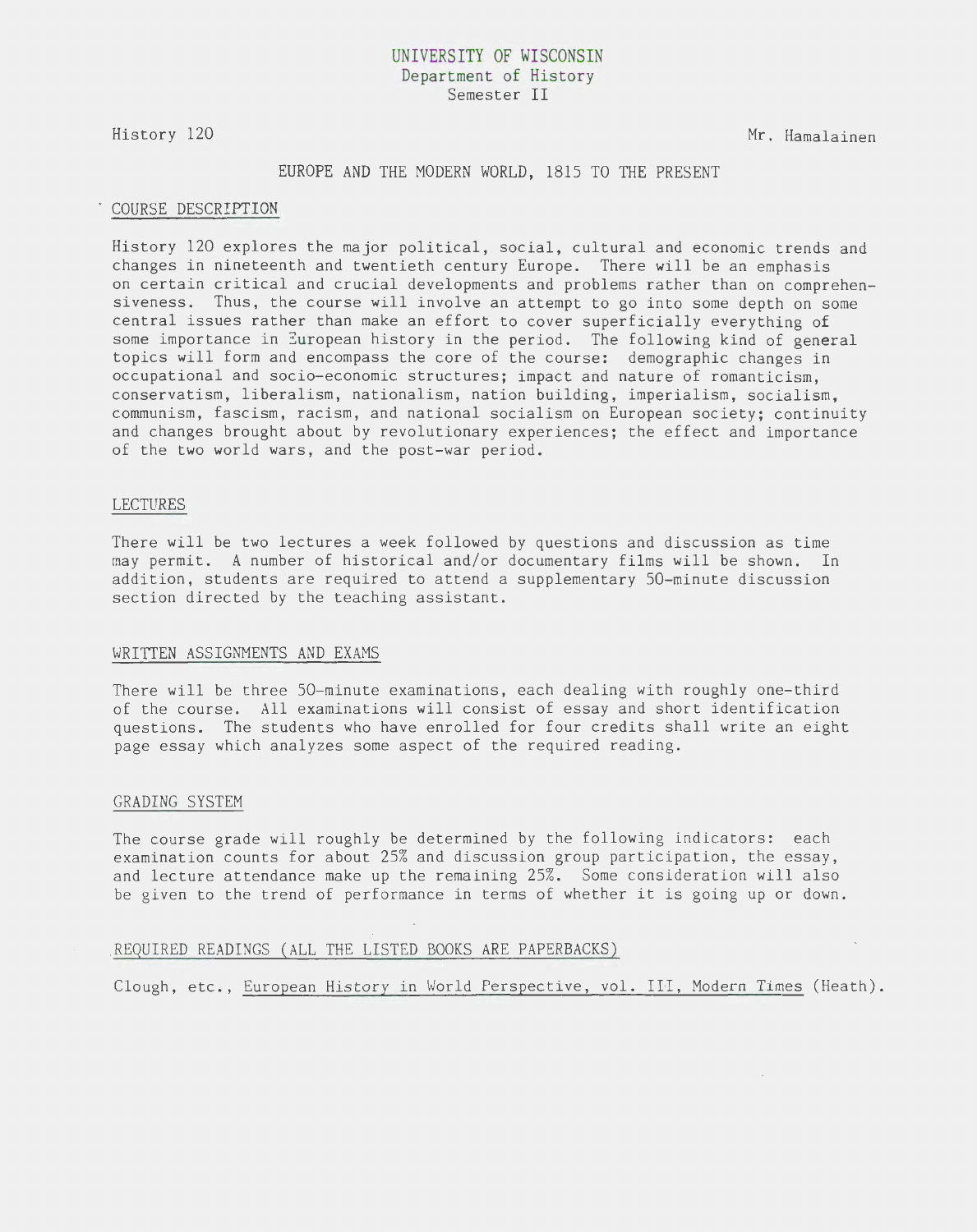## UNIVERSITY OF WISCONSIN Department of History Semester II

History 120

Mr. Hamalainen

### EUROPE AND THE MODERN WORLD, 1815 TO THE PRESENT

#### COURSE DESCRIPTION

History 120 explores the major political, social, cultural and economic trends and changes in nineteenth and twentieth century Europe. There will be an emphasis on certain critical and crucial developments and problems rather than on comprehensiveness. Thus, the course will involve an attempt to go into some depth on some central issues rather than make an effort to cover superficially everything of some importance in European history in the period. The following kind of general topics will form and encompass the core of the course: demographic changes in occupational and socio-economic structures; impact and nature of romanticism, conservatism, liberalism, nationalism, nation building, imperialism, socialism, communism, fascism, racism, and national socialism on European society; continuity and changes brought about by revolutionary experiences; the effect and importance of the two world wars, and the post-war period.

#### LECTURES

There will be two lectures a week followed by questions and discussion as time may permit. A number of historical and/or documentary films will be shown. In addition, students are required to attend a supplementary 50-minute discussion section directed by the teaching assistant.

#### WRITTEN ASSIGNMENTS AND EXAMS

There will be three 50-minute examinations, each dealing with roughly one-third of the course. All examinations will consist of essay and short identification questions. The students who have enrolled for four credits shall write an eight page essay which analyzes some aspect of the required reading.

#### GRADING SYSTEM

The course grade will roughly be determined by the following indicators: each examination counts for about 25% and discussion group participation, the essay, and lecture attendance make up the remaining 25%. Some consideration will also be given to the trend of performance in terms of whether it is going up or down.

## . REQUIRED READINGS (ALL THE LISTED BOOKS ARE PAPERBACKS)

Clough, etc., European History in World Perspective, vol. III, Modern Times (Heath).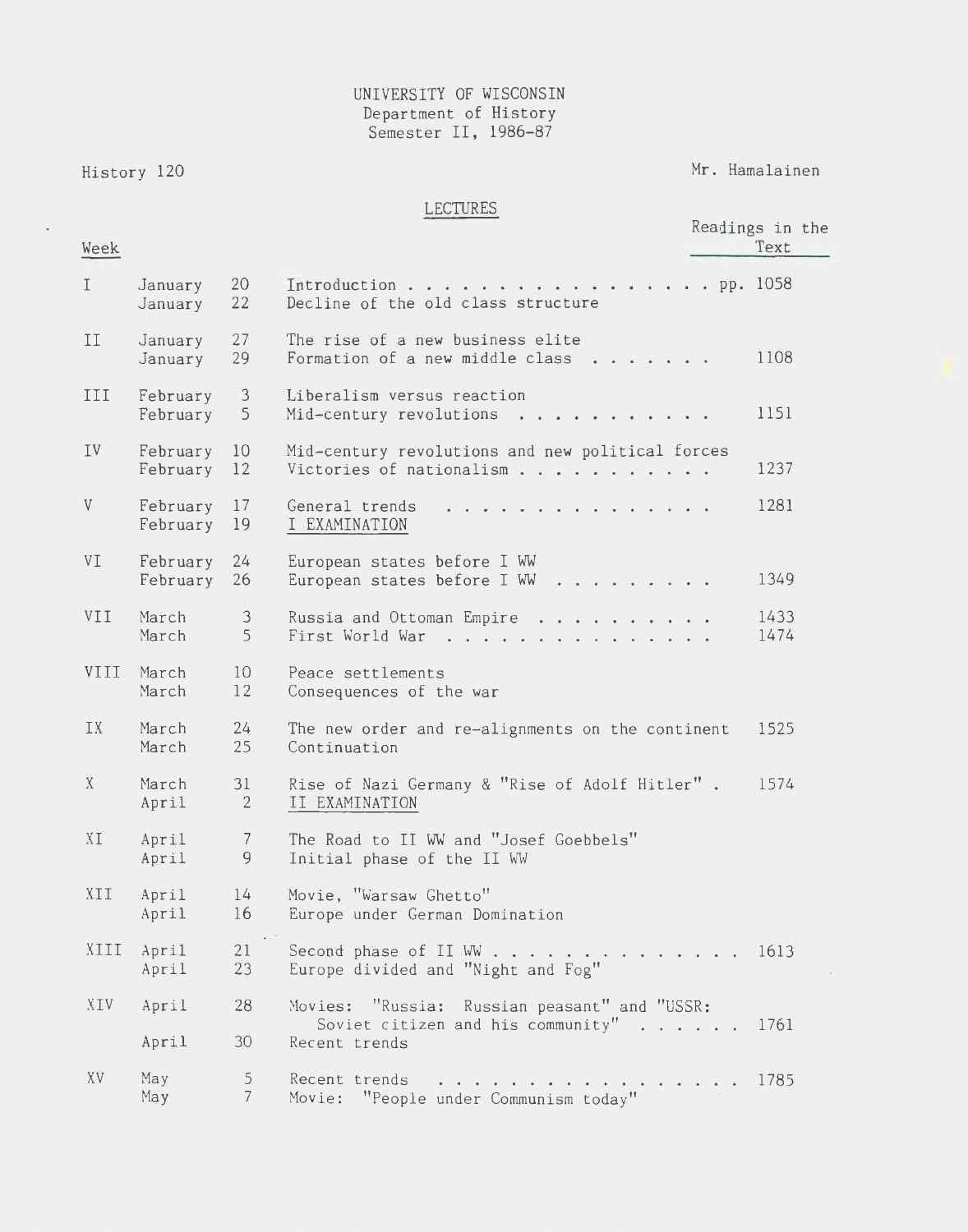## UNIVERSITY OF WISCONSIN Department of History Semester II, 1986-87

History 120

 $\overline{a}$ 

Mr. Hamalainen

# LECTURES

| Week                      |                         |                      |                                                                                   | Readings in the<br>Text |  |
|---------------------------|-------------------------|----------------------|-----------------------------------------------------------------------------------|-------------------------|--|
| $\mathbf I$               | January<br>January      | 20<br>22             | Introduction pp. $1058$<br>Decline of the old class structure                     |                         |  |
| II                        | January<br>January      | 27<br>29             | The rise of a new business elite<br>Formation of a new middle class $\ldots$      | 1108                    |  |
| III                       | February<br>February    | $\mathcal{E}$<br>5   | Liberalism versus reaction<br>Mid-century revolutions                             | 1151                    |  |
| IV                        | February 10<br>February | 12                   | Mid-century revolutions and new political forces<br>Victories of nationalism      | 1237                    |  |
| $\boldsymbol{\mathrm{V}}$ | February 17<br>February | 19                   | General trends<br>I EXAMINATION                                                   | 1281                    |  |
| VI                        | February<br>February    | 24<br>26             | European states before I WW<br>European states before I WW                        | 1349                    |  |
| VII                       | March<br>March          | $\mathcal{E}$<br>5   | Russia and Ottoman Empire<br>First World War                                      | 1433<br>1474            |  |
| VIII                      | March<br>March          | 10<br>12             | Peace settlements<br>Consequences of the war                                      |                         |  |
| IX                        | March<br>March          | 24<br>25             | The new order and re-alignments on the continent<br>Continuation                  | 1525                    |  |
| X                         | March<br>April          | 31<br>$\overline{2}$ | Rise of Nazi Germany & "Rise of Adolf Hitler".<br>II EXAMINATION                  | 1574                    |  |
| XI                        | April<br>April          | $\overline{7}$<br>9  | The Road to II WW and "Josef Goebbels"<br>Initial phase of the II WW              |                         |  |
| XII                       | April<br>April          | 14<br>16             | Movie, "Warsaw Ghetto"<br>Europe under German Domination                          |                         |  |
| XIII                      | April<br>April          | 21<br>23             | Second phase of II WW<br>Europe divided and "Night and Fog"                       | 1613                    |  |
| XIV                       | April                   | 28                   | Movies: "Russia: Russian peasant" and "USSR:<br>Soviet citizen and his community" | 1761                    |  |
|                           | April                   | 30                   | Recent trends                                                                     |                         |  |
| XV                        | May<br>May              | 5<br>$7\overline{ }$ | Recent trends<br>.<br>Movie: "People under Communism today"                       | 1785                    |  |